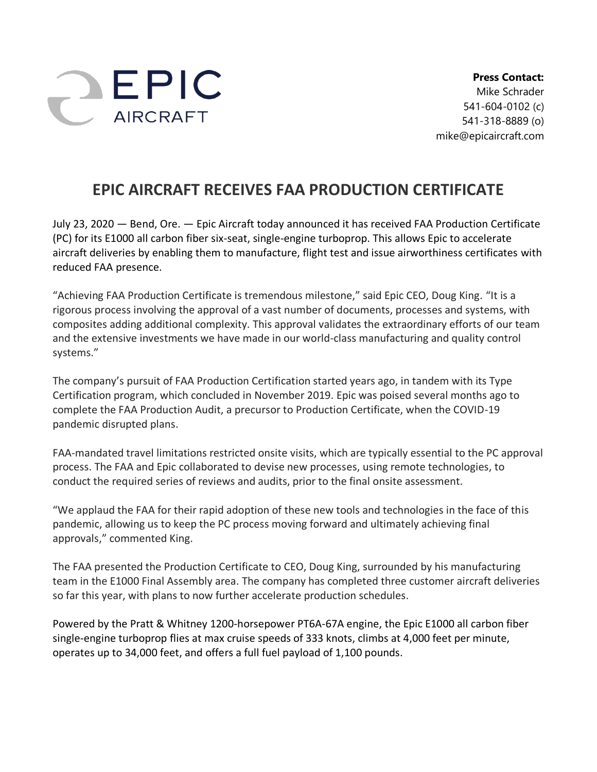

**Press Contact:** Mike Schrader 541-604-0102 (c) 541-318-8889 (o) mike@epicaircraft.com

## **EPIC AIRCRAFT RECEIVES FAA PRODUCTION CERTIFICATE**

July 23, 2020 — Bend, Ore. — Epic Aircraft today announced it has received FAA Production Certificate (PC) for its E1000 all carbon fiber six-seat, single-engine turboprop. This allows Epic to accelerate aircraft deliveries by enabling them to manufacture, flight test and issue airworthiness certificates with reduced FAA presence.

"Achieving FAA Production Certificate is tremendous milestone," said Epic CEO, Doug King. "It is a rigorous process involving the approval of a vast number of documents, processes and systems, with composites adding additional complexity. This approval validates the extraordinary efforts of our team and the extensive investments we have made in our world-class manufacturing and quality control systems."

The company's pursuit of FAA Production Certification started years ago, in tandem with its Type Certification program, which concluded in November 2019. Epic was poised several months ago to complete the FAA Production Audit, a precursor to Production Certificate, when the COVID-19 pandemic disrupted plans.

FAA-mandated travel limitations restricted onsite visits, which are typically essential to the PC approval process. The FAA and Epic collaborated to devise new processes, using remote technologies, to conduct the required series of reviews and audits, prior to the final onsite assessment.

"We applaud the FAA for their rapid adoption of these new tools and technologies in the face of this pandemic, allowing us to keep the PC process moving forward and ultimately achieving final approvals," commented King.

The FAA presented the Production Certificate to CEO, Doug King, surrounded by his manufacturing team in the E1000 Final Assembly area. The company has completed three customer aircraft deliveries so far this year, with plans to now further accelerate production schedules.

Powered by the Pratt & Whitney 1200-horsepower PT6A-67A engine, the Epic E1000 all carbon fiber single-engine turboprop flies at max cruise speeds of 333 knots, climbs at 4,000 feet per minute, operates up to 34,000 feet, and offers a full fuel payload of 1,100 pounds.